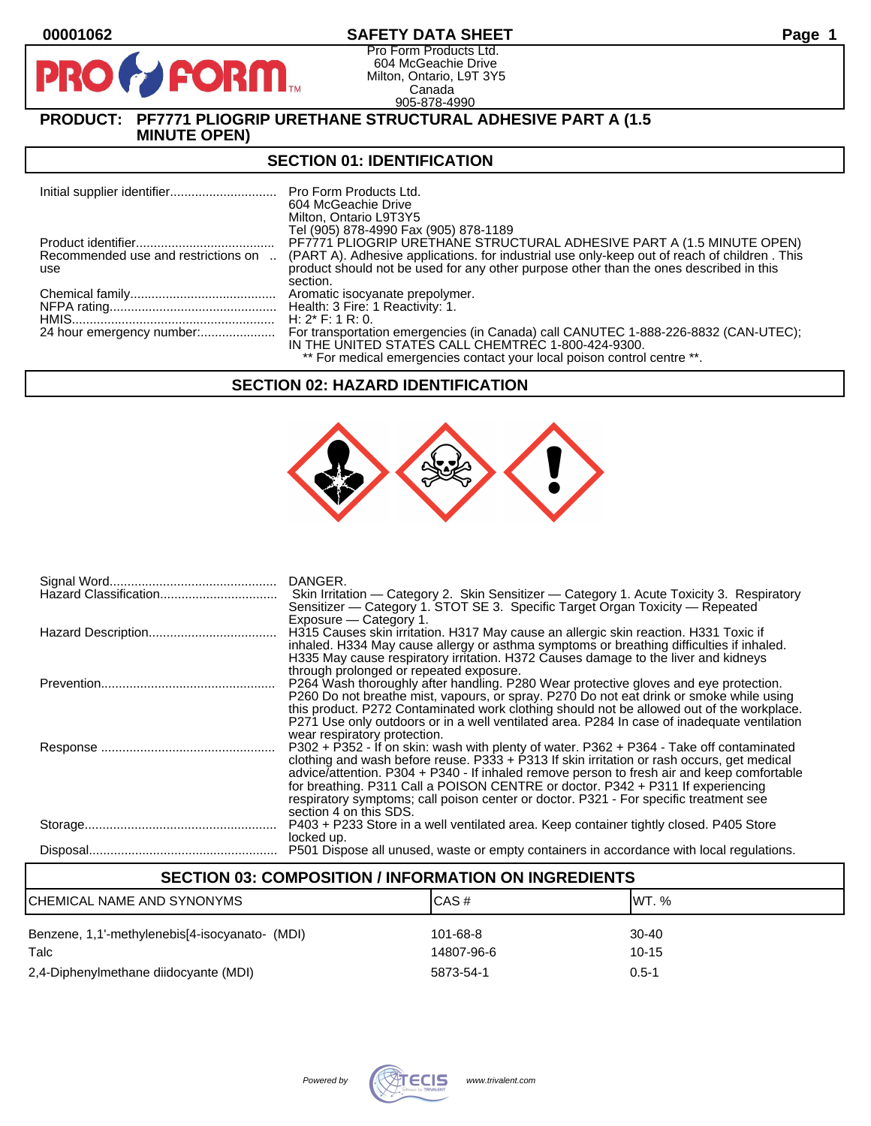$\mathbf{P}$ 

## **00001062 SAFETY DATA SHEET Page 1**

Pro Form Products Ltd. 604 McGeachie Drive Milton, Ontario, L9T 3Y5 Canada 905-878-4990

# **PRODUCT: PF7771 PLIOGRIP URETHANE STRUCTURAL ADHESIVE PART A (1.5 MINUTE OPEN)**

**FORM** 

#### **SECTION 01: IDENTIFICATION**

|                                     | <b>Pro Form Products Ltd.</b><br>604 McGeachie Drive<br>Milton, Ontario L9T3Y5<br>Tel (905) 878-4990 Fax (905) 878-1189                  |
|-------------------------------------|------------------------------------------------------------------------------------------------------------------------------------------|
|                                     | PF7771 PLIOGRIP URETHANE STRUCTURAL ADHESIVE PART A (1.5 MINUTE OPEN)                                                                    |
| Recommended use and restrictions on | (PART A). Adhesive applications, for industrial use only-keep out of reach of children. This                                             |
| use                                 | product should not be used for any other purpose other than the ones described in this<br>section.                                       |
|                                     | Aromatic isocyanate prepolymer.                                                                                                          |
|                                     | Health: 3 Fire: 1 Reactivity: 1.                                                                                                         |
|                                     | H: $2^*$ F: 1 R: 0.                                                                                                                      |
|                                     | For transportation emergencies (in Canada) call CANUTEC 1-888-226-8832 (CAN-UTEC);<br>IN THE UNITED STATES CALL CHEMTREC 1-800-424-9300. |
|                                     | ** For medical emergencies contact your local poison control centre **.                                                                  |

## **SECTION 02: HAZARD IDENTIFICATION**



| DANGER.<br>Skin Irritation — Category 2. Skin Sensitizer — Category 1. Acute Toxicity 3. Respiratory<br>Sensitizer — Category 1. STOT SE 3. Specific Target Organ Toxicity — Repeated                                                                                                                                                                                                                                                                                                                                        |
|------------------------------------------------------------------------------------------------------------------------------------------------------------------------------------------------------------------------------------------------------------------------------------------------------------------------------------------------------------------------------------------------------------------------------------------------------------------------------------------------------------------------------|
| Exposure - Category 1.<br>H315 Causes skin irritation. H317 May cause an allergic skin reaction. H331 Toxic if<br>inhaled. H334 May cause allergy or asthma symptoms or breathing difficulties if inhaled.<br>H335 May cause respiratory irritation. H372 Causes damage to the liver and kidneys                                                                                                                                                                                                                             |
| through prolonged or repeated exposure.<br>P264 Wash thoroughly after handling. P280 Wear protective gloves and eye protection.<br>P260 Do not breathe mist, vapours, or spray. P270 Do not eat drink or smoke while using<br>this product. P272 Contaminated work clothing should not be allowed out of the workplace.<br>P271 Use only outdoors or in a well ventilated area. P284 In case of inadequate ventilation                                                                                                       |
| wear respiratory protection.<br>P302 + P352 - If on skin: wash with plenty of water. P362 + P364 - Take off contaminated<br>clothing and wash before reuse. $P333 + P313$ If skin irritation or rash occurs, get medical<br>advice/attention. P304 + P340 - If inhaled remove person to fresh air and keep comfortable<br>for breathing. P311 Call a POISON CENTRE or doctor. P342 + P311 If experiencing<br>respiratory symptoms; call poison center or doctor. P321 - For specific treatment see<br>section 4 on this SDS. |
| P403 + P233 Store in a well ventilated area. Keep container tightly closed. P405 Store<br>locked up.                                                                                                                                                                                                                                                                                                                                                                                                                         |
| P501 Dispose all unused, waste or empty containers in accordance with local regulations.                                                                                                                                                                                                                                                                                                                                                                                                                                     |

| <b>SECTION 03: COMPOSITION / INFORMATION ON INGREDIENTS</b> |                        |                      |  |
|-------------------------------------------------------------|------------------------|----------------------|--|
| CHEMICAL NAME AND SYNONYMS                                  | CAS#                   | IWT. %               |  |
| Benzene, 1,1'-methylenebis[4-isocyanato- (MDI)<br>Talc      | 101-68-8<br>14807-96-6 | $30 - 40$<br>$10-15$ |  |
| 2,4-Diphenylmethane diidocyante (MDI)                       | 5873-54-1              | $0.5 - 1$            |  |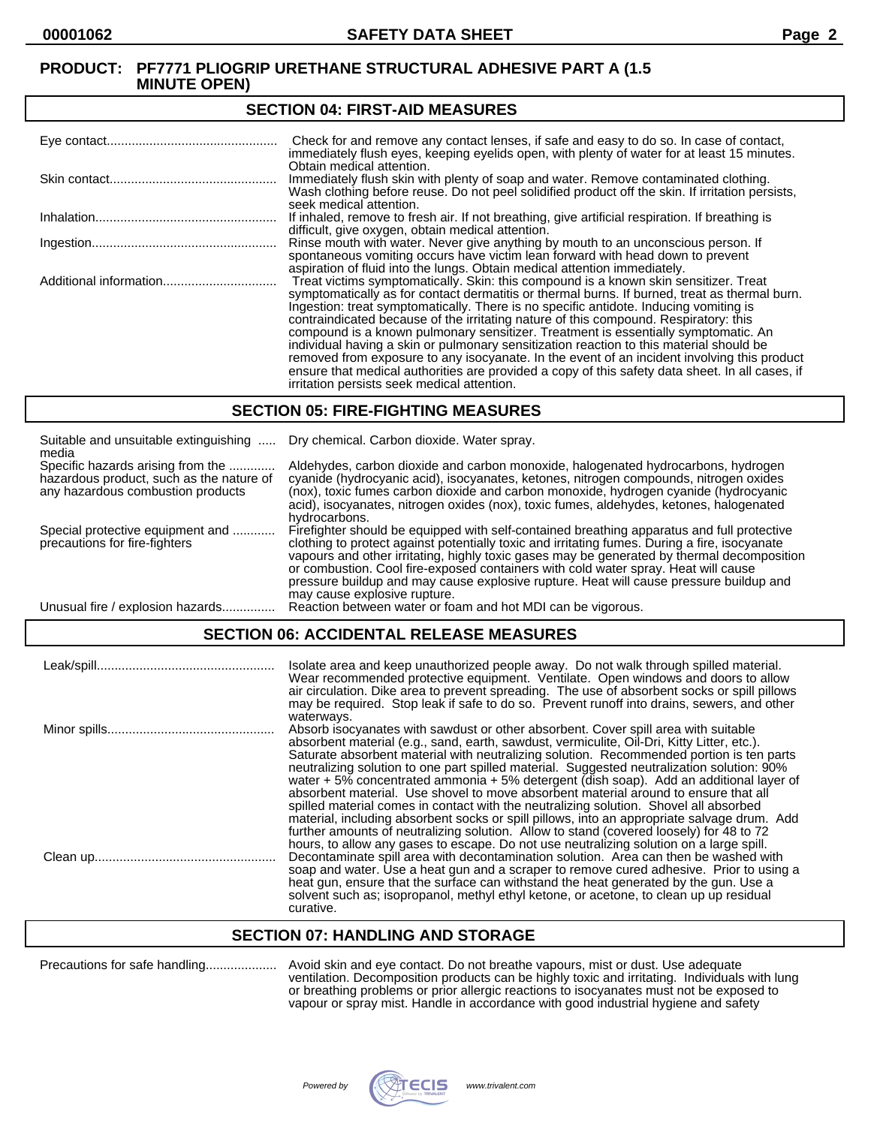#### **SECTION 04: FIRST-AID MEASURES**

| Check for and remove any contact lenses, if safe and easy to do so. In case of contact,<br>immediately flush eyes, keeping eyelids open, with plenty of water for at least 15 minutes.                                                                                                                                                                                                                                                                                                                                                                                                                                                                                                                                                                                                                   |
|----------------------------------------------------------------------------------------------------------------------------------------------------------------------------------------------------------------------------------------------------------------------------------------------------------------------------------------------------------------------------------------------------------------------------------------------------------------------------------------------------------------------------------------------------------------------------------------------------------------------------------------------------------------------------------------------------------------------------------------------------------------------------------------------------------|
| Obtain medical attention.<br>Immediately flush skin with plenty of soap and water. Remove contaminated clothing.<br>Wash clothing before reuse. Do not peel solidified product off the skin. If irritation persists,<br>seek medical attention.                                                                                                                                                                                                                                                                                                                                                                                                                                                                                                                                                          |
| If inhaled, remove to fresh air. If not breathing, give artificial respiration. If breathing is<br>difficult, give oxygen, obtain medical attention.                                                                                                                                                                                                                                                                                                                                                                                                                                                                                                                                                                                                                                                     |
| Rinse mouth with water. Never give anything by mouth to an unconscious person. If<br>spontaneous vomiting occurs have victim lean forward with head down to prevent<br>aspiration of fluid into the lungs. Obtain medical attention immediately.                                                                                                                                                                                                                                                                                                                                                                                                                                                                                                                                                         |
| Treat victims symptomatically. Skin: this compound is a known skin sensitizer. Treat<br>symptomatically as for contact dermatitis or thermal burns. If burned, treat as thermal burn.<br>Ingestion: treat symptomatically. There is no specific antidote. Inducing vomiting is<br>contraindicated because of the irritating nature of this compound. Respiratory: this<br>compound is a known pulmonary sensitizer. Treatment is essentially symptomatic. An<br>individual having a skin or pulmonary sensitization reaction to this material should be<br>removed from exposure to any isocyanate. In the event of an incident involving this product<br>ensure that medical authorities are provided a copy of this safety data sheet. In all cases, if<br>irritation persists seek medical attention. |

#### **SECTION 05: FIRE-FIGHTING MEASURES**

| Suitable and unsuitable extinguishing<br>media                                                                     | Dry chemical. Carbon dioxide. Water spray.                                                                                                                                                                                                                                                                                                                                                                                                                                                                |
|--------------------------------------------------------------------------------------------------------------------|-----------------------------------------------------------------------------------------------------------------------------------------------------------------------------------------------------------------------------------------------------------------------------------------------------------------------------------------------------------------------------------------------------------------------------------------------------------------------------------------------------------|
| Specific hazards arising from the<br>hazardous product, such as the nature of<br>any hazardous combustion products | Aldehydes, carbon dioxide and carbon monoxide, halogenated hydrocarbons, hydrogen<br>cyanide (hydrocyanic acid), isocyanates, ketones, nitrogen compounds, nitrogen oxides<br>(nox), toxic fumes carbon dioxide and carbon monoxide, hydrogen cyanide (hydrocyanic<br>acid), isocyanates, nitrogen oxides (nox), toxic fumes, aldehydes, ketones, halogenated<br>hydrocarbons.                                                                                                                            |
| Special protective equipment and<br>precautions for fire-fighters                                                  | Firefighter should be equipped with self-contained breathing apparatus and full protective<br>clothing to protect against potentially toxic and irritating fumes. During a fire, isocyanate<br>vapours and other irritating, highly toxic gases may be generated by thermal decomposition<br>or combustion. Cool fire-exposed containers with cold water spray. Heat will cause<br>pressure buildup and may cause explosive rupture. Heat will cause pressure buildup and<br>may cause explosive rupture. |
| Unusual fire / explosion hazards                                                                                   | Reaction between water or foam and hot MDI can be vigorous.                                                                                                                                                                                                                                                                                                                                                                                                                                               |

## **SECTION 06: ACCIDENTAL RELEASE MEASURES**

| Isolate area and keep unauthorized people away. Do not walk through spilled material.<br>Wear recommended protective equipment. Ventilate. Open windows and doors to allow<br>air circulation. Dike area to prevent spreading. The use of absorbent socks or spill pillows<br>may be required. Stop leak if safe to do so. Prevent runoff into drains, sewers, and other                                                                                                                                                                                                                                                                                                                                                                                     |
|--------------------------------------------------------------------------------------------------------------------------------------------------------------------------------------------------------------------------------------------------------------------------------------------------------------------------------------------------------------------------------------------------------------------------------------------------------------------------------------------------------------------------------------------------------------------------------------------------------------------------------------------------------------------------------------------------------------------------------------------------------------|
| waterways.<br>Absorb isocyanates with sawdust or other absorbent. Cover spill area with suitable<br>absorbent material (e.g., sand, earth, sawdust, vermiculite, Oil-Dri, Kitty Litter, etc.).<br>Saturate absorbent material with neutralizing solution. Recommended portion is ten parts<br>neutralizing solution to one part spilled material. Suggested neutralization solution: 90%<br>water $+5\%$ concentrated ammonia $+5\%$ detergent (dish soap). Add an additional layer of<br>absorbent material. Use shovel to move absorbent material around to ensure that all                                                                                                                                                                                |
| spilled material comes in contact with the neutralizing solution. Shovel all absorbed<br>material, including absorbent socks or spill pillows, into an appropriate salvage drum. Add<br>further amounts of neutralizing solution. Allow to stand (covered loosely) for 48 to 72<br>hours, to allow any gases to escape. Do not use neutralizing solution on a large spill.<br>Decontaminate spill area with decontamination solution. Area can then be washed with<br>soap and water. Use a heat gun and a scraper to remove cured adhesive. Prior to using a<br>heat gun, ensure that the surface can withstand the heat generated by the gun. Use a<br>solvent such as; isopropanol, methyl ethyl ketone, or acetone, to clean up up residual<br>curative. |

#### **SECTION 07: HANDLING AND STORAGE**

| Precautions for safe handling |
|-------------------------------|
|-------------------------------|

Precautions for safe handling.................... Avoid skin and eye contact. Do not breathe vapours, mist or dust. Use adequate ventilation. Decomposition products can be highly toxic and irritating. Individuals with lung or breathing problems or prior allergic reactions to isocyanates must not be exposed to vapour or spray mist. Handle in accordance with good industrial hygiene and safety

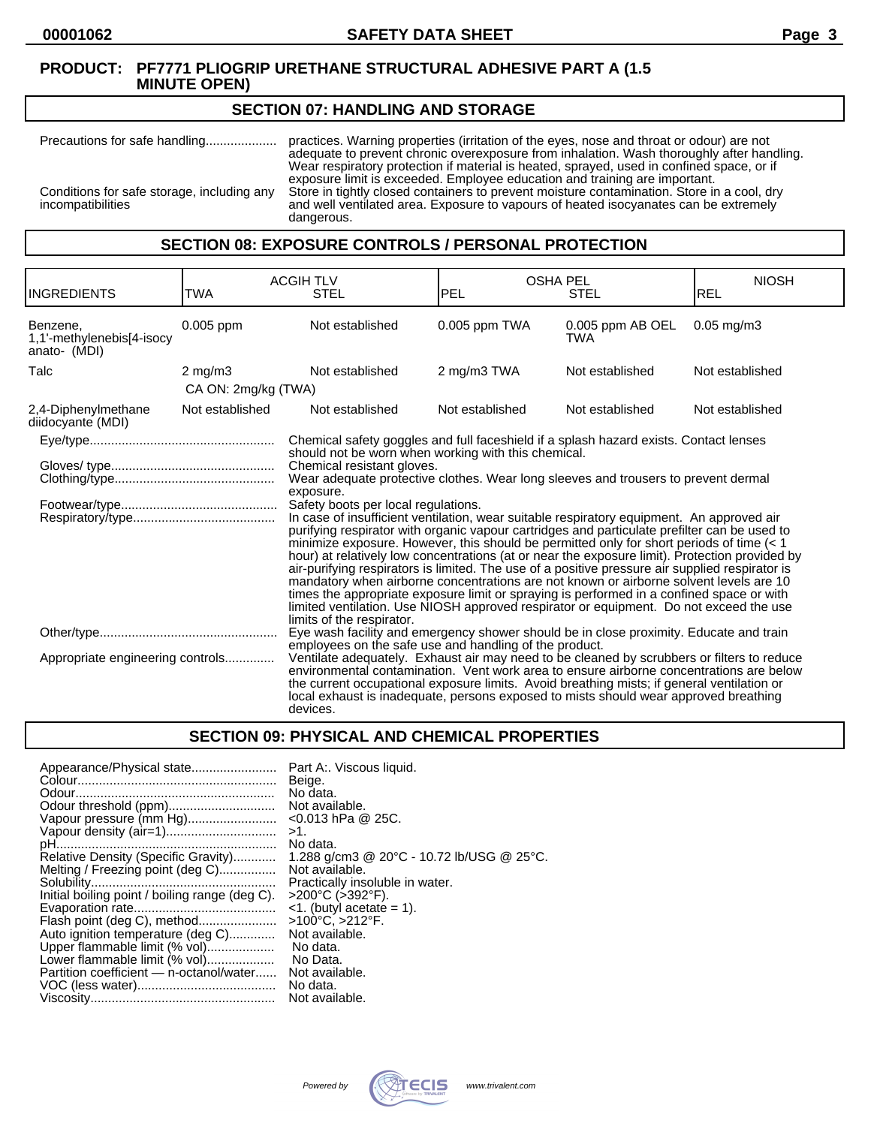#### **SECTION 07: HANDLING AND STORAGE**

Precautions for safe handling.................... practices. Warning properties (irritation of the eyes, nose and throat or odour) are not adequate to prevent chronic overexposure from inhalation. Wash thoroughly after handling. Wear respiratory protection if material is heated, sprayed, used in confined space, or if exposure limit is exceeded. Employee education and training are important. Conditions for safe storage, including any Store in tightly closed containers to prevent moisture contamination. Store in a cool, dry incompatibilities and well ventilated area. Exposure to vapours of heated isocyanates can be extremely dangerous.

## **SECTION 08: EXPOSURE CONTROLS / PERSONAL PROTECTION**

| <b>INGREDIENTS</b>                                    | TWA                                                                                   | <b>ACGIH TLV</b><br><b>STEL</b>                                                                                                                                                                                                                                                                                                                                                                                                                                                                                                                                                                                                                                                                                                                                                                                                                                                                                                                                                                                 | <b>OSHA PEL</b><br><b>PEL</b> | <b>STEL</b>                    | <b>NIOSH</b><br>REL |
|-------------------------------------------------------|---------------------------------------------------------------------------------------|-----------------------------------------------------------------------------------------------------------------------------------------------------------------------------------------------------------------------------------------------------------------------------------------------------------------------------------------------------------------------------------------------------------------------------------------------------------------------------------------------------------------------------------------------------------------------------------------------------------------------------------------------------------------------------------------------------------------------------------------------------------------------------------------------------------------------------------------------------------------------------------------------------------------------------------------------------------------------------------------------------------------|-------------------------------|--------------------------------|---------------------|
| Benzene,<br>1,1'-methylenebis[4-isocy<br>anato- (MDI) | 0.005 ppm                                                                             | Not established                                                                                                                                                                                                                                                                                                                                                                                                                                                                                                                                                                                                                                                                                                                                                                                                                                                                                                                                                                                                 | 0.005 ppm TWA                 | 0.005 ppm AB OEL<br><b>TWA</b> | $0.05$ mg/m $3$     |
| Talc                                                  | $2 \text{ mg/m}$ 3                                                                    | Not established                                                                                                                                                                                                                                                                                                                                                                                                                                                                                                                                                                                                                                                                                                                                                                                                                                                                                                                                                                                                 | 2 mg/m3 TWA                   | Not established                | Not established     |
|                                                       | CA ON: 2mg/kg (TWA)                                                                   |                                                                                                                                                                                                                                                                                                                                                                                                                                                                                                                                                                                                                                                                                                                                                                                                                                                                                                                                                                                                                 |                               |                                |                     |
| 2,4-Diphenylmethane<br>diidocyante (MDI)              | Not established                                                                       | Not established                                                                                                                                                                                                                                                                                                                                                                                                                                                                                                                                                                                                                                                                                                                                                                                                                                                                                                                                                                                                 | Not established               | Not established                | Not established     |
|                                                       | Chemical safety goggles and full faceshield if a splash hazard exists. Contact lenses |                                                                                                                                                                                                                                                                                                                                                                                                                                                                                                                                                                                                                                                                                                                                                                                                                                                                                                                                                                                                                 |                               |                                |                     |
|                                                       |                                                                                       | should not be worn when working with this chemical.<br>Chemical resistant gloves.<br>Wear adequate protective clothes. Wear long sleeves and trousers to prevent dermal<br>exposure.<br>Safety boots per local regulations.<br>In case of insufficient ventilation, wear suitable respiratory equipment. An approved air<br>purifying respirator with organic vapour cartridges and particulate prefilter can be used to<br>minimize exposure. However, this should be permitted only for short periods of time $(1hour) at relatively low concentrations (at or near the exposure limit). Protection provided byair-purifying respirators is limited. The use of a positive pressure air supplied respirator ismandatory when airborne concentrations are not known or airborne solvent levels are 10times the appropriate exposure limit or spraying is performed in a confined space or withlimited ventilation. Use NIOSH approved respirator or equipment. Do not exceed the uselimits of the respirator.$ |                               |                                |                     |
| Appropriate engineering controls                      |                                                                                       | Eye wash facility and emergency shower should be in close proximity. Educate and train<br>employees on the safe use and handling of the product.<br>Ventilate adequately. Exhaust air may need to be cleaned by scrubbers or filters to reduce<br>environmental contamination. Vent work area to ensure airborne concentrations are below<br>the current occupational exposure limits. Avoid breathing mists; if general ventilation or<br>local exhaust is inadequate, persons exposed to mists should wear approved breathing<br>devices.                                                                                                                                                                                                                                                                                                                                                                                                                                                                     |                               |                                |                     |

# **SECTION 09: PHYSICAL AND CHEMICAL PROPERTIES**

| Appearance/Physical state<br>Vapour pressure (mm Hg)<br>Vapour density (air=1)<br>Relative Density (Specific Gravity)<br>Melting / Freezing point (deg C)<br>Initial boiling point / boiling range (deg C).<br>Flash point (deg C), method<br>Auto ignition temperature (deg C)<br>Upper flammable limit (% vol) | Part A:. Viscous liquid.<br>Beige.<br>No data.<br>Not available.<br>$<$ 0.013 hPa @ 25C.<br>>1.<br>No data.<br>1.288 g/cm3 @ 20°C - 10.72 lb/USG @ 25°C.<br>Not available.<br>Practically insoluble in water.<br>>200°C (>392°F).<br>$\leq$ 1. (butyl acetate = 1).<br>>100°C, >212°F.<br>Not available.<br>No data.<br>No Data. |
|------------------------------------------------------------------------------------------------------------------------------------------------------------------------------------------------------------------------------------------------------------------------------------------------------------------|----------------------------------------------------------------------------------------------------------------------------------------------------------------------------------------------------------------------------------------------------------------------------------------------------------------------------------|
|                                                                                                                                                                                                                                                                                                                  |                                                                                                                                                                                                                                                                                                                                  |
| Lower flammable limit (% vol)<br>Partition coefficient - n-octanol/water                                                                                                                                                                                                                                         | Not available.<br>No data.<br>Not available.                                                                                                                                                                                                                                                                                     |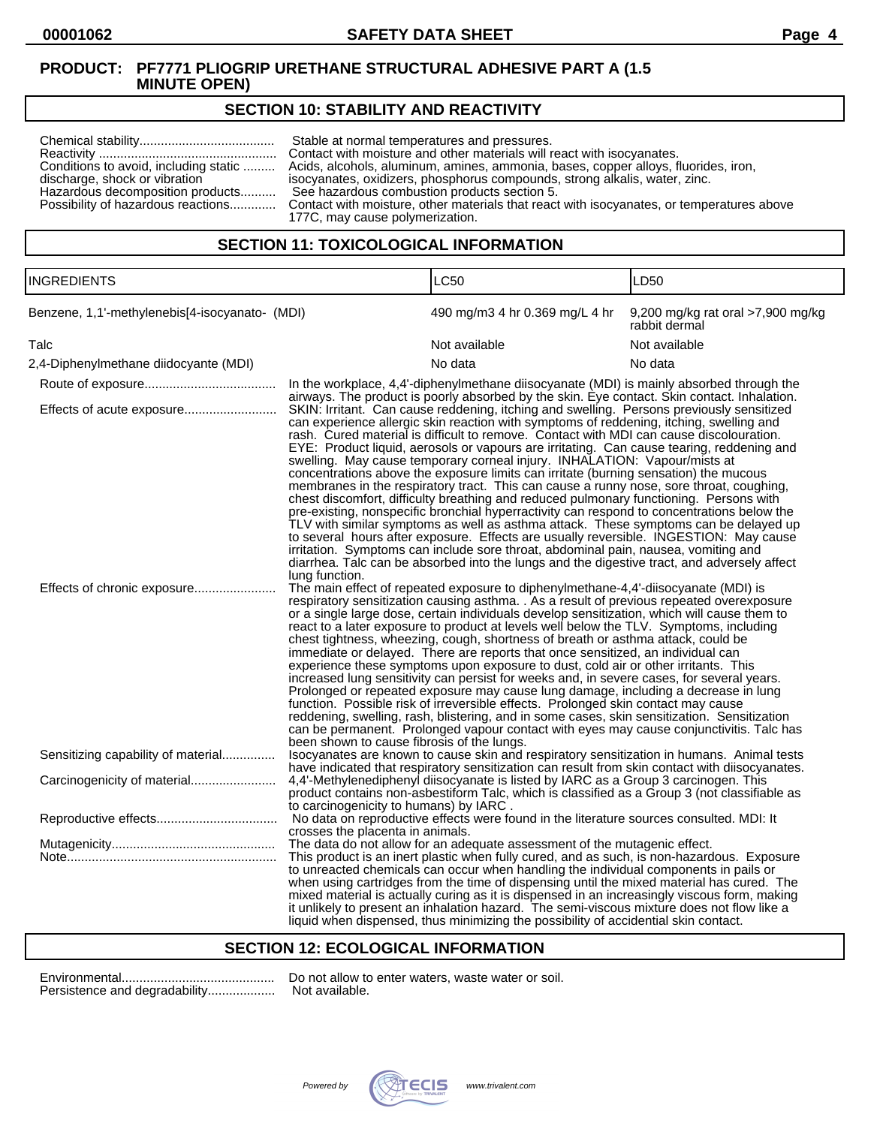# **SECTION 10: STABILITY AND REACTIVITY**

|                                       | Stable at normal temperatures and pressures.                                                                                 |
|---------------------------------------|------------------------------------------------------------------------------------------------------------------------------|
|                                       | Contact with moisture and other materials will react with isocyanates.                                                       |
| Conditions to avoid, including static | Acids, alcohols, aluminum, amines, ammonia, bases, copper alloys, fluorides, iron,                                           |
| discharge, shock or vibration         | isocyanates, oxidizers, phosphorus compounds, strong alkalis, water, zinc.                                                   |
| Hazardous decomposition products      | See hazardous combustion products section 5.                                                                                 |
| 177C, may cause polymerization.       | Possibility of hazardous reactions Contact with moisture, other materials that react with isocyanates, or temperatures above |

## **SECTION 11: TOXICOLOGICAL INFORMATION**

| <b>INGREDIENTS</b>                                       |                                                                                                             | <b>LC50</b>                                                                                                                                                                                                                                                                                                                                                                                                                                                                                                                                                                                                                                                                                                                                                                                                                                                                                                                                                                                                                                                                                                                                                                                                                                                                                                                                                                                                                                                                                                                                                                                                                                                                                                                                                                                                                                        | LD <sub>50</sub>                                   |
|----------------------------------------------------------|-------------------------------------------------------------------------------------------------------------|----------------------------------------------------------------------------------------------------------------------------------------------------------------------------------------------------------------------------------------------------------------------------------------------------------------------------------------------------------------------------------------------------------------------------------------------------------------------------------------------------------------------------------------------------------------------------------------------------------------------------------------------------------------------------------------------------------------------------------------------------------------------------------------------------------------------------------------------------------------------------------------------------------------------------------------------------------------------------------------------------------------------------------------------------------------------------------------------------------------------------------------------------------------------------------------------------------------------------------------------------------------------------------------------------------------------------------------------------------------------------------------------------------------------------------------------------------------------------------------------------------------------------------------------------------------------------------------------------------------------------------------------------------------------------------------------------------------------------------------------------------------------------------------------------------------------------------------------------|----------------------------------------------------|
| Benzene, 1,1'-methylenebis[4-isocyanato- (MDI)           |                                                                                                             | 490 mg/m3 4 hr 0.369 mg/L 4 hr                                                                                                                                                                                                                                                                                                                                                                                                                                                                                                                                                                                                                                                                                                                                                                                                                                                                                                                                                                                                                                                                                                                                                                                                                                                                                                                                                                                                                                                                                                                                                                                                                                                                                                                                                                                                                     | 9,200 mg/kg rat oral >7,900 mg/kg<br>rabbit dermal |
| Talc                                                     |                                                                                                             | Not available                                                                                                                                                                                                                                                                                                                                                                                                                                                                                                                                                                                                                                                                                                                                                                                                                                                                                                                                                                                                                                                                                                                                                                                                                                                                                                                                                                                                                                                                                                                                                                                                                                                                                                                                                                                                                                      | Not available                                      |
| 2,4-Diphenylmethane diidocyante (MDI)                    |                                                                                                             | No data                                                                                                                                                                                                                                                                                                                                                                                                                                                                                                                                                                                                                                                                                                                                                                                                                                                                                                                                                                                                                                                                                                                                                                                                                                                                                                                                                                                                                                                                                                                                                                                                                                                                                                                                                                                                                                            | No data                                            |
|                                                          |                                                                                                             | In the workplace, 4,4'-diphenylmethane diisocyanate (MDI) is mainly absorbed through the<br>airways. The product is poorly absorbed by the skin. Eye contact. Skin contact. Inhalation.                                                                                                                                                                                                                                                                                                                                                                                                                                                                                                                                                                                                                                                                                                                                                                                                                                                                                                                                                                                                                                                                                                                                                                                                                                                                                                                                                                                                                                                                                                                                                                                                                                                            |                                                    |
| Effects of acute exposure<br>Effects of chronic exposure | lung function.<br>increased lung sensitivity can persist for weeks and, in severe cases, for several years. | SKIN: Irritant. Can cause reddening, itching and swelling. Persons previously sensitized<br>can experience allergic skin reaction with symptoms of reddening, itching, swelling and<br>rash. Cured material is difficult to remove. Contact with MDI can cause discolouration.<br>EYE: Product liquid, aerosols or vapours are irritating. Can cause tearing, reddening and<br>swelling. May cause temporary corneal injury. INHALATION: Vapour/mists at<br>concentrations above the exposure limits can irritate (burning sensation) the mucous<br>membranes in the respiratory tract. This can cause a runny nose, sore throat, coughing,<br>chest discomfort, difficulty breathing and reduced pulmonary functioning. Persons with<br>pre-existing, nonspecific bronchial hyperractivity can respond to concentrations below the<br>TLV with similar symptoms as well as asthma attack. These symptoms can be delayed up<br>to several hours after exposure. Effects are usually reversible. INGESTION: May cause<br>irritation. Symptoms can include sore throat, abdominal pain, nausea, vomiting and<br>diarrhea. Talc can be absorbed into the lungs and the digestive tract, and adversely affect<br>The main effect of repeated exposure to diphenylmethane-4,4'-diisocyanate (MDI) is<br>respiratory sensitization causing asthma. . As a result of previous repeated overexposure<br>or a single large dose, certain individuals develop sensitization, which will cause them to<br>react to a later exposure to product at levels well below the TLV. Symptoms, including<br>chest tightness, wheezing, cough, shortness of breath or asthma attack, could be<br>immediate or delayed. There are reports that once sensitized, an individual can<br>experience these symptoms upon exposure to dust, cold air or other irritants. This |                                                    |
| Sensitizing capability of material                       | been shown to cause fibrosis of the lungs.                                                                  | Prolonged or repeated exposure may cause lung damage, including a decrease in lung<br>function. Possible risk of irreversible effects. Prolonged skin contact may cause<br>reddening, swelling, rash, blistering, and in some cases, skin sensitization. Sensitization<br>can be permanent. Prolonged vapour contact with eyes may cause conjunctivitis. Talc has<br>Isocyanates are known to cause skin and respiratory sensitization in humans. Animal tests                                                                                                                                                                                                                                                                                                                                                                                                                                                                                                                                                                                                                                                                                                                                                                                                                                                                                                                                                                                                                                                                                                                                                                                                                                                                                                                                                                                     |                                                    |
|                                                          | to carcinogenicity to humans) by IARC.                                                                      | have indicated that respiratory sensitization can result from skin contact with diisocyanates.<br>4,4'-Methylenediphenyl diisocyanate is listed by IARC as a Group 3 carcinogen. This<br>product contains non-asbestiform Talc, which is classified as a Group 3 (not classifiable as                                                                                                                                                                                                                                                                                                                                                                                                                                                                                                                                                                                                                                                                                                                                                                                                                                                                                                                                                                                                                                                                                                                                                                                                                                                                                                                                                                                                                                                                                                                                                              |                                                    |
|                                                          | crosses the placenta in animals.                                                                            | No data on reproductive effects were found in the literature sources consulted. MDI: It                                                                                                                                                                                                                                                                                                                                                                                                                                                                                                                                                                                                                                                                                                                                                                                                                                                                                                                                                                                                                                                                                                                                                                                                                                                                                                                                                                                                                                                                                                                                                                                                                                                                                                                                                            |                                                    |
|                                                          |                                                                                                             | The data do not allow for an adequate assessment of the mutagenic effect.                                                                                                                                                                                                                                                                                                                                                                                                                                                                                                                                                                                                                                                                                                                                                                                                                                                                                                                                                                                                                                                                                                                                                                                                                                                                                                                                                                                                                                                                                                                                                                                                                                                                                                                                                                          |                                                    |
|                                                          |                                                                                                             | This product is an inert plastic when fully cured, and as such, is non-hazardous. Exposure<br>to unreacted chemicals can occur when handling the individual components in pails or<br>when using cartridges from the time of dispensing until the mixed material has cured. The<br>mixed material is actually curing as it is dispensed in an increasingly viscous form, making<br>it unlikely to present an inhalation hazard. The semi-viscous mixture does not flow like a<br>liquid when dispensed, thus minimizing the possibility of accidential skin contact.                                                                                                                                                                                                                                                                                                                                                                                                                                                                                                                                                                                                                                                                                                                                                                                                                                                                                                                                                                                                                                                                                                                                                                                                                                                                               |                                                    |

#### **SECTION 12: ECOLOGICAL INFORMATION**

| Persistence and degradability |
|-------------------------------|

Environmental........................................... Do not allow to enter waters, waste water or soil. ..... Not available.

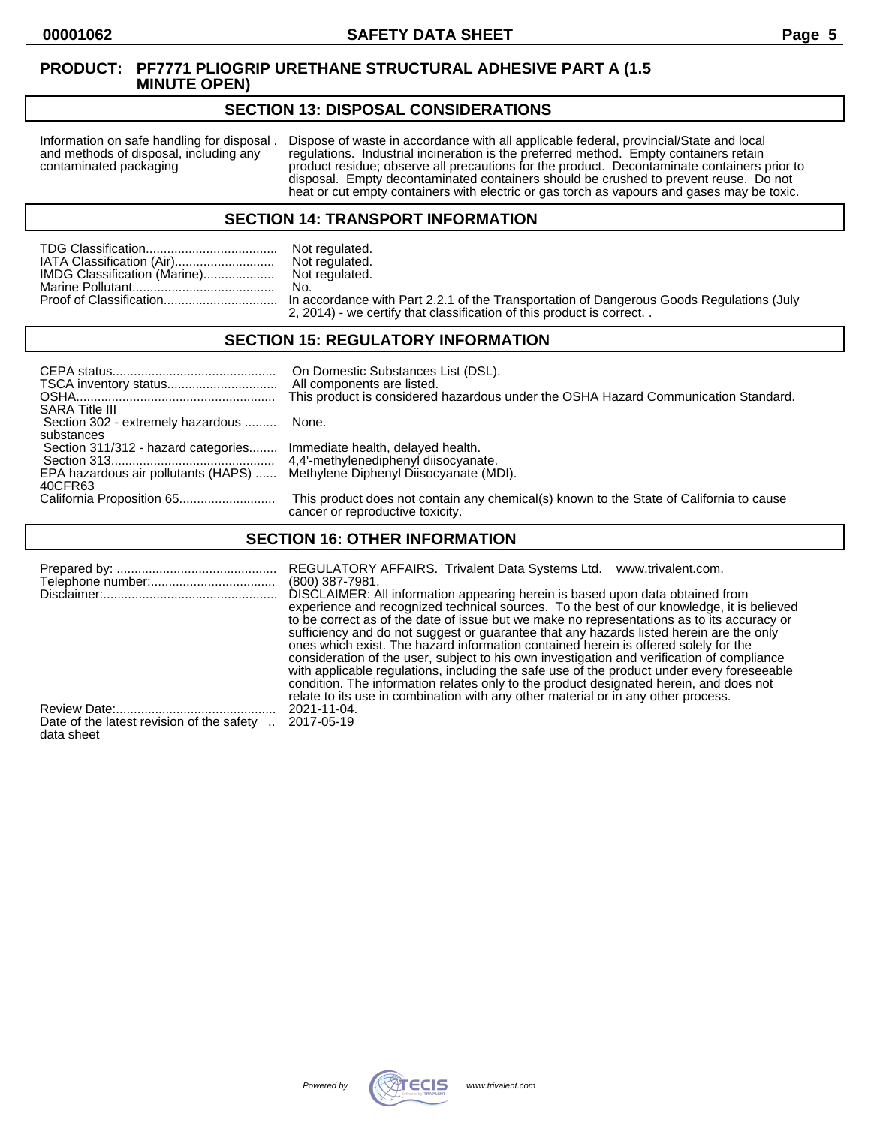#### **SECTION 13: DISPOSAL CONSIDERATIONS**

Information on safe handling for disposal . Dispose of waste in accordance with all applicable federal, provincial/State and local and methods of disposal, including any regulations. Industrial incineration is the preferre and methods of disposal, including any regulations. Industrial incineration is the preferred method. Empty containers retain<br>contaminated packaging product residue; observe all precautions for the product. Decontaminate co product residue; observe all precautions for the product. Decontaminate containers prior to disposal. Empty decontaminated containers should be crushed to prevent reuse. Do not heat or cut empty containers with electric or gas torch as vapours and gases may be toxic.

#### **SECTION 14: TRANSPORT INFORMATION**

|                              | Not regulated. |
|------------------------------|----------------|
| IATA Classification (Air)    | Not regulated. |
| IMDG Classification (Marine) | Not regulated. |
|                              | No.            |
|                              |                |

Not regulated.<br>No. n accordance with Part 2.2.1 of the Transportation of Dangerous Goods Regulations (July 2, 2014) - we certify that classification of this product is correct. .

## **SECTION 15: REGULATORY INFORMATION**

| <b>SARA Title III</b>                                                       | On Domestic Substances List (DSL).<br>All components are listed.<br>This product is considered hazardous under the OSHA Hazard Communication Standard. |
|-----------------------------------------------------------------------------|--------------------------------------------------------------------------------------------------------------------------------------------------------|
| Section 302 - extremely hazardous  None.                                    |                                                                                                                                                        |
| substances                                                                  |                                                                                                                                                        |
| Section 311/312 - hazard categories Immediate health, delayed health.       |                                                                                                                                                        |
|                                                                             |                                                                                                                                                        |
| EPA hazardous air pollutants (HAPS)  Methylene Diphenyl Diisocyanate (MDI). |                                                                                                                                                        |
| 40CFR63                                                                     |                                                                                                                                                        |
|                                                                             | This product does not contain any chemical(s) known to the State of California to cause<br>cancer or reproductive toxicity.                            |

## **SECTION 16: OTHER INFORMATION**

|                                           | REGULATORY AFFAIRS. Trivalent Data Systems Ltd.<br>www.trivalent.com.<br>$(800)$ 387-7981.<br>DISCLAIMER: All information appearing herein is based upon data obtained from<br>experience and recognized technical sources. To the best of our knowledge, it is believed<br>to be correct as of the date of issue but we make no representations as to its accuracy or<br>sufficiency and do not suggest or guarantee that any hazards listed herein are the only<br>ones which exist. The hazard information contained herein is offered solely for the<br>consideration of the user, subject to his own investigation and verification of compliance<br>with applicable regulations, including the safe use of the product under every foreseeable<br>condition. The information relates only to the product designated herein, and does not |
|-------------------------------------------|------------------------------------------------------------------------------------------------------------------------------------------------------------------------------------------------------------------------------------------------------------------------------------------------------------------------------------------------------------------------------------------------------------------------------------------------------------------------------------------------------------------------------------------------------------------------------------------------------------------------------------------------------------------------------------------------------------------------------------------------------------------------------------------------------------------------------------------------|
|                                           | relate to its use in combination with any other material or in any other process.                                                                                                                                                                                                                                                                                                                                                                                                                                                                                                                                                                                                                                                                                                                                                              |
| Date of the latest revision of the safety | 2021-11-04.                                                                                                                                                                                                                                                                                                                                                                                                                                                                                                                                                                                                                                                                                                                                                                                                                                    |
| data sheet                                | 2017-05-19                                                                                                                                                                                                                                                                                                                                                                                                                                                                                                                                                                                                                                                                                                                                                                                                                                     |

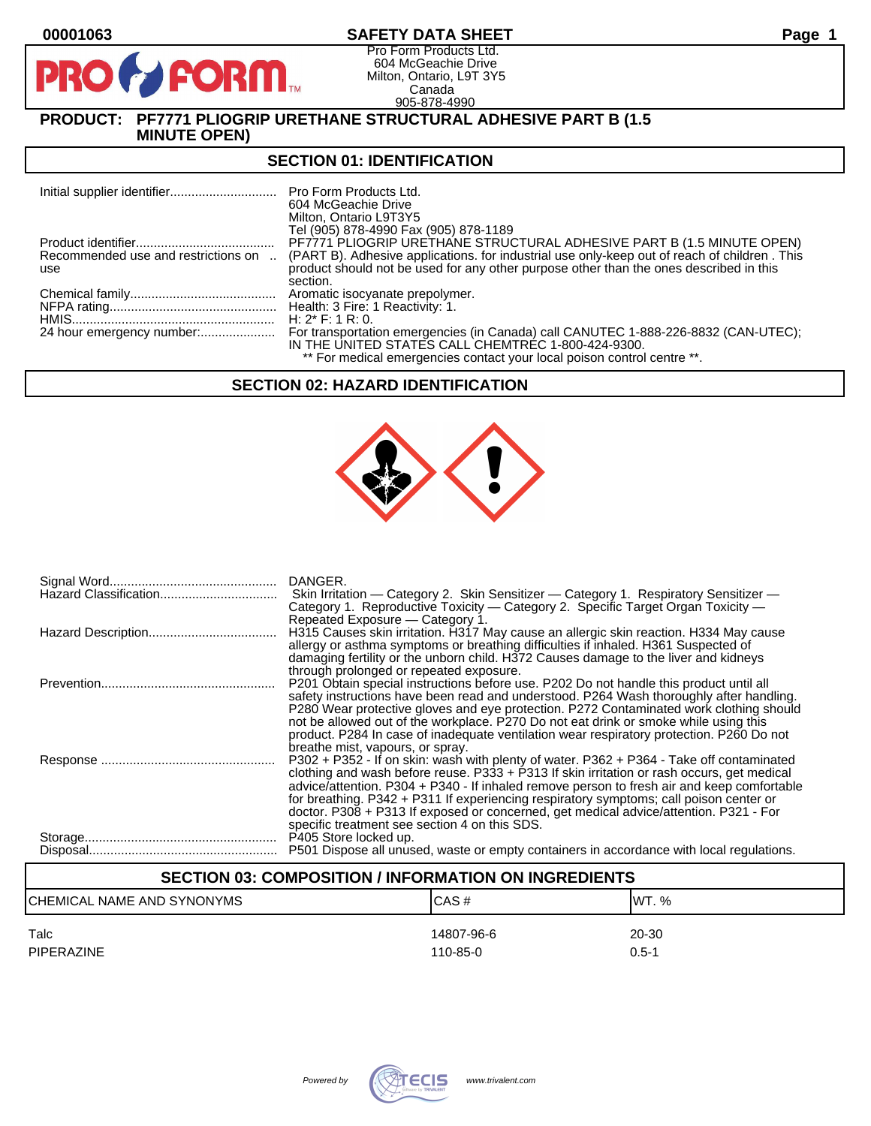## **00001063 SAFETY DATA SHEET Page 1**

Pro Form Products Ltd. 604 McGeachie Drive Milton, Ontario, L9T 3Y5 Canada 905-878-4990

## **PRODUCT: PF7771 PLIOGRIP URETHANE STRUCTURAL ADHESIVE PART B (1.5 MINUTE OPEN)**

**PORM** 

#### **SECTION 01: IDENTIFICATION**

|                                     | Pro Form Products Ltd.<br>604 McGeachie Drive<br>Milton, Ontario L9T3Y5                                        |
|-------------------------------------|----------------------------------------------------------------------------------------------------------------|
|                                     | Tel (905) 878-4990 Fax (905) 878-1189<br>PF7771 PLIOGRIP URETHANE STRUCTURAL ADHESIVE PART B (1.5 MINUTE OPEN) |
| Recommended use and restrictions on | (PART B). Adhesive applications. for industrial use only-keep out of reach of children. This                   |
| use                                 | product should not be used for any other purpose other than the ones described in this                         |
|                                     | section.                                                                                                       |
|                                     | Aromatic isocyanate prepolymer.                                                                                |
|                                     |                                                                                                                |
|                                     | H: $2^*$ F: 1 R: 0.                                                                                            |
| 24 hour emergency number:           | For transportation emergencies (in Canada) call CANUTEC 1-888-226-8832 (CAN-UTEC);                             |
|                                     | IN THE UNITED STATES CALL CHEMTREC 1-800-424-9300.                                                             |
|                                     | ** For medical emergencies contact your local poison control centre **.                                        |

## **SECTION 02: HAZARD IDENTIFICATION**



| DANGER.<br>Skin Irritation — Category 2. Skin Sensitizer — Category 1. Respiratory Sensitizer —<br>Category 1. Reproductive Toxicity — Category 2. Specific Target Organ Toxicity —                                                                                                                                                                                                                                                                                                                                                            |
|------------------------------------------------------------------------------------------------------------------------------------------------------------------------------------------------------------------------------------------------------------------------------------------------------------------------------------------------------------------------------------------------------------------------------------------------------------------------------------------------------------------------------------------------|
| Repeated Exposure - Category 1.<br>H315 Causes skin irritation. H317 May cause an allergic skin reaction. H334 May cause<br>allergy or asthma symptoms or breathing difficulties if inhaled. H361 Suspected of<br>damaging fertility or the unborn child. H372 Causes damage to the liver and kidneys                                                                                                                                                                                                                                          |
| through prolonged or repeated exposure.<br>P201 Obtain special instructions before use. P202 Do not handle this product until all<br>safety instructions have been read and understood. P264 Wash thoroughly after handling.<br>P280 Wear protective gloves and eye protection. P272 Contaminated work clothing should<br>not be allowed out of the workplace. P270 Do not eat drink or smoke while using this<br>product. P284 In case of inadequate ventilation wear respiratory protection. P260 Do not<br>breathe mist, vapours, or spray. |
| P302 + P352 - If on skin: wash with plenty of water. P362 + P364 - Take off contaminated<br>clothing and wash before reuse. P333 + P313 If skin irritation or rash occurs, get medical<br>advice/attention. P304 + P340 - If inhaled remove person to fresh air and keep comfortable<br>for breathing. P342 + P311 If experiencing respiratory symptoms; call poison center or<br>doctor. P308 + P313 If exposed or concerned, get medical advice/attention. P321 - For<br>specific treatment see section 4 on this SDS.                       |
| P405 Store locked up.<br>P501 Dispose all unused, waste or empty containers in accordance with local regulations.                                                                                                                                                                                                                                                                                                                                                                                                                              |

# **SECTION 03: COMPOSITION / INFORMATION ON INGREDIENTS** CHEMICAL NAME AND SYNONYMS CASE CAS # CAS # WT. % Talc 14807-96-6 20-30 PIPERAZINE 110-85-0 0.5-1

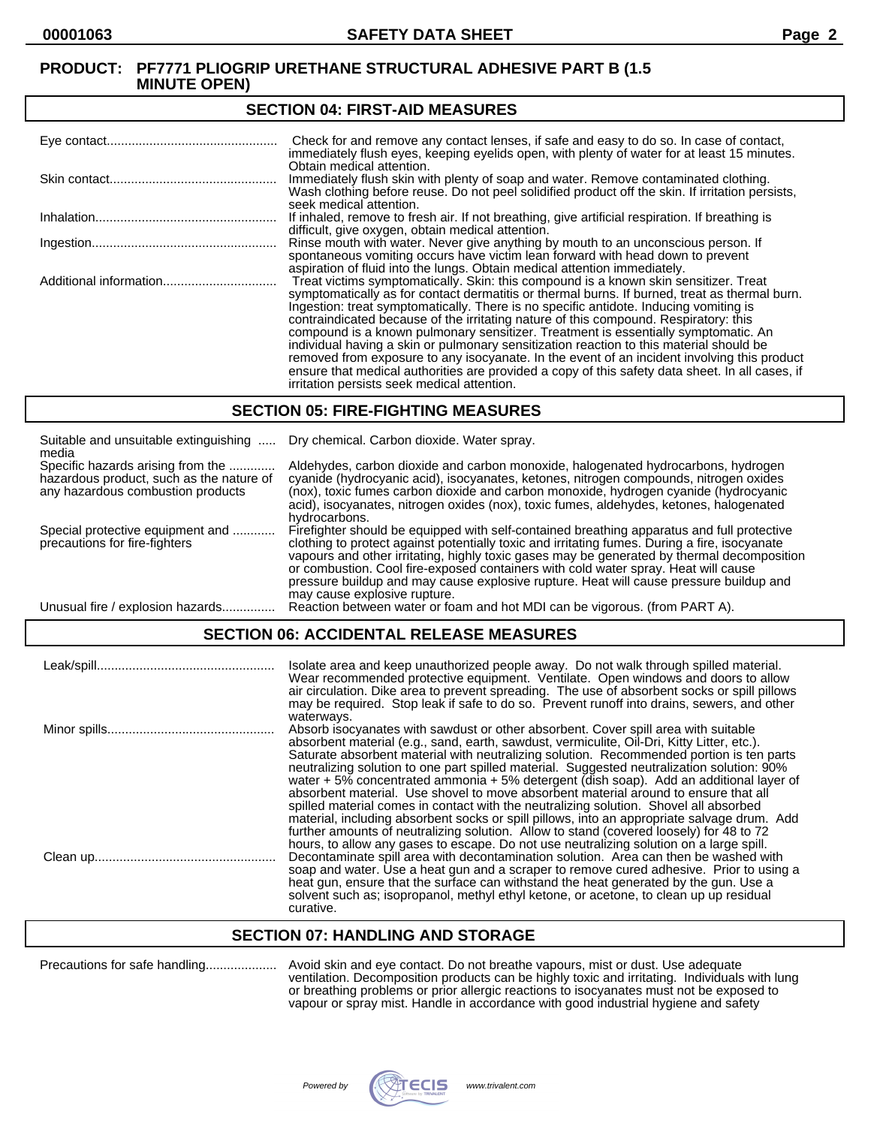#### **SECTION 04: FIRST-AID MEASURES**

| Check for and remove any contact lenses, if safe and easy to do so. In case of contact,<br>immediately flush eyes, keeping eyelids open, with plenty of water for at least 15 minutes.                                                                                                                                                                                                                                                                                                                                                                                                                                                                                                                                                                                                                   |
|----------------------------------------------------------------------------------------------------------------------------------------------------------------------------------------------------------------------------------------------------------------------------------------------------------------------------------------------------------------------------------------------------------------------------------------------------------------------------------------------------------------------------------------------------------------------------------------------------------------------------------------------------------------------------------------------------------------------------------------------------------------------------------------------------------|
| Obtain medical attention.<br>Immediately flush skin with plenty of soap and water. Remove contaminated clothing.<br>Wash clothing before reuse. Do not peel solidified product off the skin. If irritation persists,<br>seek medical attention.                                                                                                                                                                                                                                                                                                                                                                                                                                                                                                                                                          |
| If inhaled, remove to fresh air. If not breathing, give artificial respiration. If breathing is<br>difficult, give oxygen, obtain medical attention.                                                                                                                                                                                                                                                                                                                                                                                                                                                                                                                                                                                                                                                     |
| Rinse mouth with water. Never give anything by mouth to an unconscious person. If<br>spontaneous vomiting occurs have victim lean forward with head down to prevent<br>aspiration of fluid into the lungs. Obtain medical attention immediately.                                                                                                                                                                                                                                                                                                                                                                                                                                                                                                                                                         |
| Treat victims symptomatically. Skin: this compound is a known skin sensitizer. Treat<br>symptomatically as for contact dermatitis or thermal burns. If burned, treat as thermal burn.<br>Ingestion: treat symptomatically. There is no specific antidote. Inducing vomiting is<br>contraindicated because of the irritating nature of this compound. Respiratory: this<br>compound is a known pulmonary sensitizer. Treatment is essentially symptomatic. An<br>individual having a skin or pulmonary sensitization reaction to this material should be<br>removed from exposure to any isocyanate. In the event of an incident involving this product<br>ensure that medical authorities are provided a copy of this safety data sheet. In all cases, if<br>irritation persists seek medical attention. |

#### **SECTION 05: FIRE-FIGHTING MEASURES**

| Suitable and unsuitable extinguishing<br>media                                                                     | Dry chemical. Carbon dioxide. Water spray.                                                                                                                                                                                                                                                                                                                                                                                                                                                                |
|--------------------------------------------------------------------------------------------------------------------|-----------------------------------------------------------------------------------------------------------------------------------------------------------------------------------------------------------------------------------------------------------------------------------------------------------------------------------------------------------------------------------------------------------------------------------------------------------------------------------------------------------|
| Specific hazards arising from the<br>hazardous product, such as the nature of<br>any hazardous combustion products | Aldehydes, carbon dioxide and carbon monoxide, halogenated hydrocarbons, hydrogen<br>cyanide (hydrocyanic acid), isocyanates, ketones, nitrogen compounds, nitrogen oxides<br>(nox), toxic fumes carbon dioxide and carbon monoxide, hydrogen cyanide (hydrocyanic<br>acid), isocyanates, nitrogen oxides (nox), toxic fumes, aldehydes, ketones, halogenated<br>hydrocarbons.                                                                                                                            |
| Special protective equipment and<br>precautions for fire-fighters                                                  | Firefighter should be equipped with self-contained breathing apparatus and full protective<br>clothing to protect against potentially toxic and irritating fumes. During a fire, isocyanate<br>vapours and other irritating, highly toxic gases may be generated by thermal decomposition<br>or combustion. Cool fire-exposed containers with cold water spray. Heat will cause<br>pressure buildup and may cause explosive rupture. Heat will cause pressure buildup and<br>may cause explosive rupture. |
| Unusual fire / explosion hazards                                                                                   | Reaction between water or foam and hot MDI can be vigorous. (from PART A).                                                                                                                                                                                                                                                                                                                                                                                                                                |

## **SECTION 06: ACCIDENTAL RELEASE MEASURES**

| Isolate area and keep unauthorized people away. Do not walk through spilled material.<br>Wear recommended protective equipment. Ventilate. Open windows and doors to allow<br>air circulation. Dike area to prevent spreading. The use of absorbent socks or spill pillows<br>may be required. Stop leak if safe to do so. Prevent runoff into drains, sewers, and other                                                                                                                                                                                                                                                                                                                                                                                                                                                                                         |
|------------------------------------------------------------------------------------------------------------------------------------------------------------------------------------------------------------------------------------------------------------------------------------------------------------------------------------------------------------------------------------------------------------------------------------------------------------------------------------------------------------------------------------------------------------------------------------------------------------------------------------------------------------------------------------------------------------------------------------------------------------------------------------------------------------------------------------------------------------------|
| waterways.<br>Absorb isocyanates with sawdust or other absorbent. Cover spill area with suitable<br>absorbent material (e.g., sand, earth, sawdust, vermiculite, Oil-Dri, Kitty Litter, etc.).<br>Saturate absorbent material with neutralizing solution. Recommended portion is ten parts<br>neutralizing solution to one part spilled material. Suggested neutralization solution: 90%<br>water $+5\%$ concentrated ammonia $+5\%$ detergent (dish soap). Add an additional layer of<br>absorbent material. Use shovel to move absorbent material around to ensure that all<br>spilled material comes in contact with the neutralizing solution. Shovel all absorbed<br>material, including absorbent socks or spill pillows, into an appropriate salvage drum. Add<br>further amounts of neutralizing solution. Allow to stand (covered loosely) for 48 to 72 |
| hours, to allow any gases to escape. Do not use neutralizing solution on a large spill.<br>Decontaminate spill area with decontamination solution. Area can then be washed with<br>soap and water. Use a heat gun and a scraper to remove cured adhesive. Prior to using a<br>heat gun, ensure that the surface can withstand the heat generated by the gun. Use a<br>solvent such as: isopropanol, methyl ethyl ketone, or acetone, to clean up up residual<br>curative.                                                                                                                                                                                                                                                                                                                                                                                        |

#### **SECTION 07: HANDLING AND STORAGE**

Precautions for safe handling.................... Avoid skin and eye contact. Do not breathe vapours, mist or dust. Use adequate ventilation. Decomposition products can be highly toxic and irritating. Individuals with lung or breathing problems or prior allergic reactions to isocyanates must not be exposed to vapour or spray mist. Handle in accordance with good industrial hygiene and safety

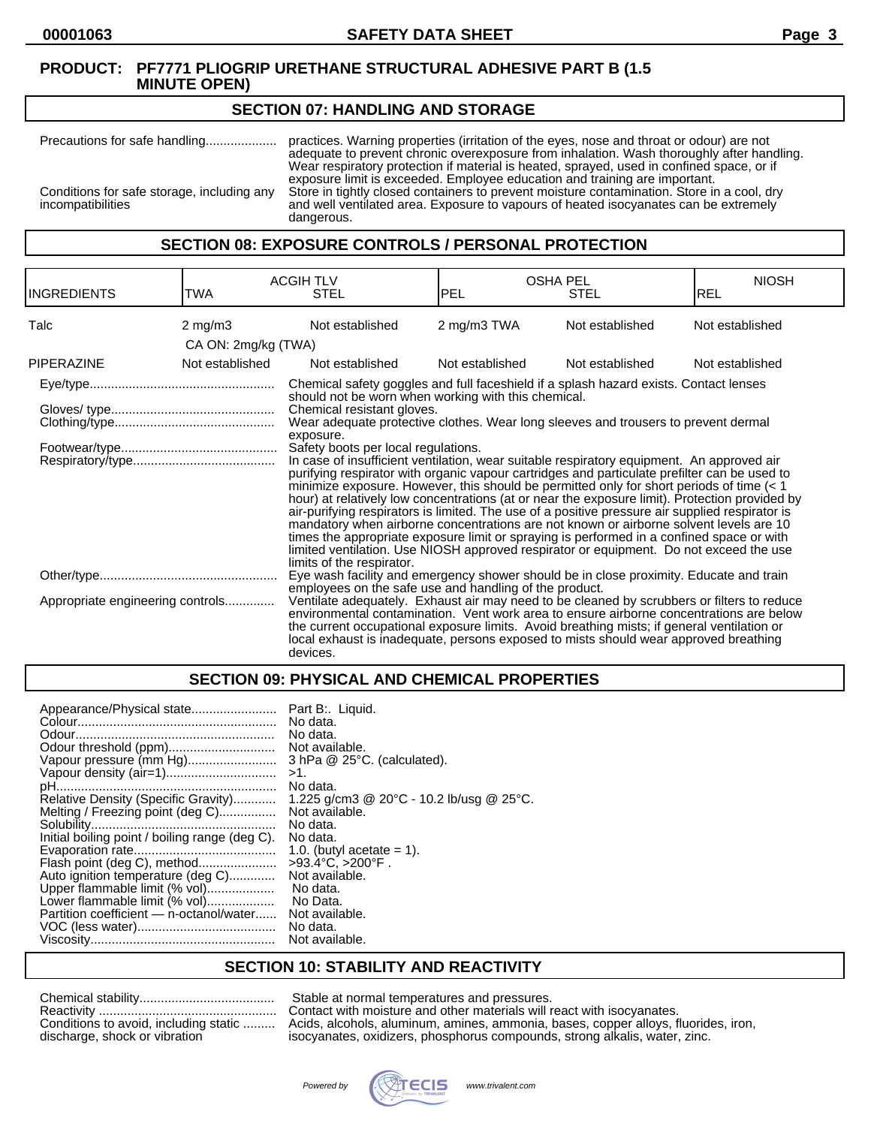#### **SECTION 07: HANDLING AND STORAGE**

Precautions for safe handling.................... practices. Warning properties (irritation of the eyes, nose and throat or odour) are not adequate to prevent chronic overexposure from inhalation. Wash thoroughly after handling. Wear respiratory protection if material is heated, sprayed, used in confined space, or if exposure limit is exceeded. Employee education and training are important. Conditions for safe storage, including any Store in tightly closed containers to prevent moisture contamination. Store in a cool, dry and well ventilated area. Exposure to vapours of heated isocyanates can be extremely and well ventilated area. Exposure to vapours of heated isocyanates can be extremely dangerous.

#### **SECTION 08: EXPOSURE CONTROLS / PERSONAL PROTECTION**

| <b>INGREDIENTS</b>               | <b>TWA</b>          | <b>ACGIH TLV</b><br><b>STEL</b>                                                                                                                                                                                                                                                                                                                                                                                                                                                                                                                                                                                                                                                                                                                                                                                                                                                                                                                                                                                                                                                                          | <b>OSHA PEL</b><br>PEL | <b>STEL</b>     | <b>NIOSH</b><br>IREL |
|----------------------------------|---------------------|----------------------------------------------------------------------------------------------------------------------------------------------------------------------------------------------------------------------------------------------------------------------------------------------------------------------------------------------------------------------------------------------------------------------------------------------------------------------------------------------------------------------------------------------------------------------------------------------------------------------------------------------------------------------------------------------------------------------------------------------------------------------------------------------------------------------------------------------------------------------------------------------------------------------------------------------------------------------------------------------------------------------------------------------------------------------------------------------------------|------------------------|-----------------|----------------------|
| Talc                             | $2$ mg/m $3$        | Not established                                                                                                                                                                                                                                                                                                                                                                                                                                                                                                                                                                                                                                                                                                                                                                                                                                                                                                                                                                                                                                                                                          | 2 mg/m3 TWA            | Not established | Not established      |
|                                  | CA ON: 2mg/kg (TWA) |                                                                                                                                                                                                                                                                                                                                                                                                                                                                                                                                                                                                                                                                                                                                                                                                                                                                                                                                                                                                                                                                                                          |                        |                 |                      |
| <b>PIPERAZINE</b>                | Not established     | Not established                                                                                                                                                                                                                                                                                                                                                                                                                                                                                                                                                                                                                                                                                                                                                                                                                                                                                                                                                                                                                                                                                          | Not established        | Not established | Not established      |
|                                  |                     | Chemical safety goggles and full faceshield if a splash hazard exists. Contact lenses<br>should not be worn when working with this chemical.<br>Chemical resistant gloves.<br>Wear adequate protective clothes. Wear long sleeves and trousers to prevent dermal<br>exposure.<br>Safety boots per local regulations.<br>In case of insufficient ventilation, wear suitable respiratory equipment. An approved air<br>purifying respirator with organic vapour cartridges and particulate prefilter can be used to<br>minimize exposure. However, this should be permitted only for short periods of time $(1hour) at relatively low concentrations (at or near the exposure limit). Protection provided byair-purifying respirators is limited. The use of a positive pressure air supplied respirator ismandatory when airborne concentrations are not known or airborne solvent levels are 10times the appropriate exposure limit or spraying is performed in a confined space or withlimited ventilation. Use NIOSH approved respirator or equipment. Do not exceed the uselimits of the respirator.$ |                        |                 |                      |
|                                  |                     | Eye wash facility and emergency shower should be in close proximity. Educate and train<br>employees on the safe use and handling of the product.                                                                                                                                                                                                                                                                                                                                                                                                                                                                                                                                                                                                                                                                                                                                                                                                                                                                                                                                                         |                        |                 |                      |
| Appropriate engineering controls |                     | Ventilate adequately. Exhaust air may need to be cleaned by scrubbers or filters to reduce<br>environmental contamination. Vent work area to ensure airborne concentrations are below<br>the current occupational exposure limits. Avoid breathing mists; if general ventilation or<br>local exhaust is inadequate, persons exposed to mists should wear approved breathing<br>devices.                                                                                                                                                                                                                                                                                                                                                                                                                                                                                                                                                                                                                                                                                                                  |                        |                 |                      |

## **SECTION 09: PHYSICAL AND CHEMICAL PROPERTIES**

| Appearance/Physical state                      | Part B:. Liquid.                         |
|------------------------------------------------|------------------------------------------|
|                                                | No data.                                 |
|                                                | No data.                                 |
|                                                | Not available.                           |
| Vapour pressure (mm Hg)                        | $3$ hPa $@$ 25 $°C$ . (calculated).      |
|                                                | >1.                                      |
|                                                | No data.                                 |
| Relative Density (Specific Gravity)            | 1.225 g/cm3 @ 20°C - 10.2 lb/usg @ 25°C. |
| Melting / Freezing point (deg C)               | Not available.                           |
|                                                | No data.                                 |
| Initial boiling point / boiling range (deg C). | No data.                                 |
|                                                | 1.0. (butyl acetate $= 1$ ).             |
| Flash point (deg C), method                    | $>93.4^{\circ}C$ , $>200^{\circ}F$ .     |
| Auto ignition temperature (deg C)              | Not available.                           |
| Upper flammable limit (% vol)                  | No data.                                 |
| Lower flammable limit (% vol)                  | No Data.                                 |
| Partition coefficient - n-octanol/water        | Not available.                           |
|                                                | No data.                                 |
|                                                | Not available.                           |

#### **SECTION 10: STABILITY AND REACTIVITY**

| Conditions to avoid, including static |
|---------------------------------------|
| discharge, shock or vibration         |

Stable at normal temperatures and pressures. Contact with moisture and other materials will react with isocyanates. Acids, alcohols, aluminum, amines, ammonia, bases, copper alloys, fluorides, iron, isocyanates, oxidizers, phosphorus compounds, strong alkalis, water, zinc.

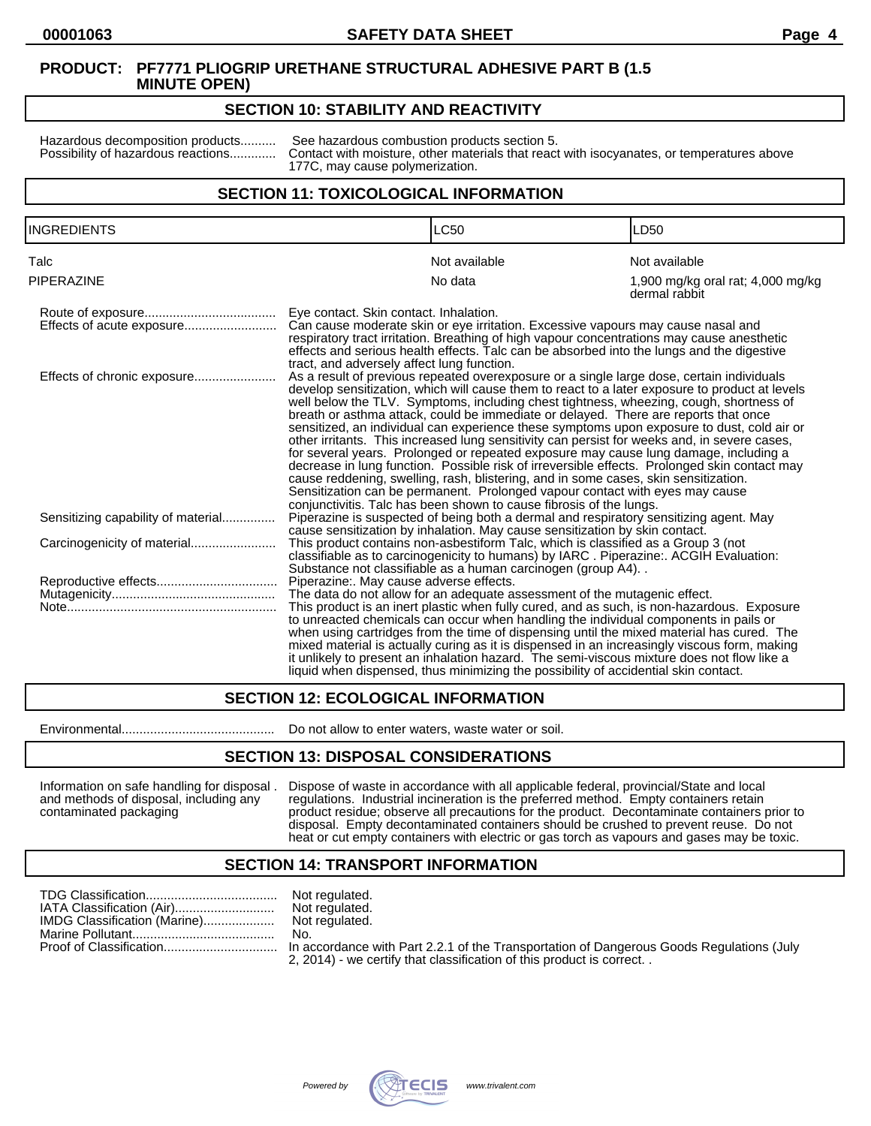#### **SECTION 10: STABILITY AND REACTIVITY**

Hazardous decomposition products.......... See hazardous combustion products section 5.<br>Possibility of hazardous reactions............. Contact with moisture, other materials that reaction Contact with moisture, other materials that react with isocyanates, or temperatures above 177C, may cause polymerization.

## **SECTION 11: TOXICOLOGICAL INFORMATION**

| <b>INGREDIENTS</b>                 |                                                                                                                                                                                                                                                                                                                                                                                                                                                                                                                                                                                                                                                                                                                                                                                                                                                                                                                                                                                                                  | <b>LC50</b>                                                                                                                                                                                                                                                                                                                                                                                                                                                                                                                                                          | LD <sub>50</sub>                                   |
|------------------------------------|------------------------------------------------------------------------------------------------------------------------------------------------------------------------------------------------------------------------------------------------------------------------------------------------------------------------------------------------------------------------------------------------------------------------------------------------------------------------------------------------------------------------------------------------------------------------------------------------------------------------------------------------------------------------------------------------------------------------------------------------------------------------------------------------------------------------------------------------------------------------------------------------------------------------------------------------------------------------------------------------------------------|----------------------------------------------------------------------------------------------------------------------------------------------------------------------------------------------------------------------------------------------------------------------------------------------------------------------------------------------------------------------------------------------------------------------------------------------------------------------------------------------------------------------------------------------------------------------|----------------------------------------------------|
| Talc                               |                                                                                                                                                                                                                                                                                                                                                                                                                                                                                                                                                                                                                                                                                                                                                                                                                                                                                                                                                                                                                  | Not available                                                                                                                                                                                                                                                                                                                                                                                                                                                                                                                                                        | Not available                                      |
| <b>PIPERAZINE</b>                  |                                                                                                                                                                                                                                                                                                                                                                                                                                                                                                                                                                                                                                                                                                                                                                                                                                                                                                                                                                                                                  | No data                                                                                                                                                                                                                                                                                                                                                                                                                                                                                                                                                              | 1,900 mg/kg oral rat; 4,000 mg/kg<br>dermal rabbit |
| Effects of acute exposure          | Eye contact. Skin contact. Inhalation.<br>Can cause moderate skin or eye irritation. Excessive vapours may cause nasal and<br>respiratory tract irritation. Breathing of high vapour concentrations may cause anesthetic<br>effects and serious health effects. Talc can be absorbed into the lungs and the digestive<br>tract, and adversely affect lung function.                                                                                                                                                                                                                                                                                                                                                                                                                                                                                                                                                                                                                                              |                                                                                                                                                                                                                                                                                                                                                                                                                                                                                                                                                                      |                                                    |
| Effects of chronic exposure        | As a result of previous repeated overexposure or a single large dose, certain individuals<br>develop sensitization, which will cause them to react to a later exposure to product at levels<br>well below the TLV. Symptoms, including chest tightness, wheezing, cough, shortness of<br>breath or asthma attack, could be immediate or delayed. There are reports that once<br>sensitized, an individual can experience these symptoms upon exposure to dust, cold air or<br>other irritants. This increased lung sensitivity can persist for weeks and, in severe cases,<br>for several years. Prolonged or repeated exposure may cause lung damage, including a<br>decrease in lung function. Possible risk of irreversible effects. Prolonged skin contact may<br>cause reddening, swelling, rash, blistering, and in some cases, skin sensitization.<br>Sensitization can be permanent. Prolonged vapour contact with eyes may cause<br>conjunctivitis. Talc has been shown to cause fibrosis of the lungs. |                                                                                                                                                                                                                                                                                                                                                                                                                                                                                                                                                                      |                                                    |
| Sensitizing capability of material |                                                                                                                                                                                                                                                                                                                                                                                                                                                                                                                                                                                                                                                                                                                                                                                                                                                                                                                                                                                                                  | Piperazine is suspected of being both a dermal and respiratory sensitizing agent. May<br>cause sensitization by inhalation. May cause sensitization by skin contact.                                                                                                                                                                                                                                                                                                                                                                                                 |                                                    |
|                                    |                                                                                                                                                                                                                                                                                                                                                                                                                                                                                                                                                                                                                                                                                                                                                                                                                                                                                                                                                                                                                  | This product contains non-asbestiform Talc, which is classified as a Group 3 (not<br>classifiable as to carcinogenicity to humans) by IARC. Piperazine:. ACGIH Evaluation:<br>Substance not classifiable as a human carcinogen (group A4)                                                                                                                                                                                                                                                                                                                            |                                                    |
|                                    | Piperazine:. May cause adverse effects.                                                                                                                                                                                                                                                                                                                                                                                                                                                                                                                                                                                                                                                                                                                                                                                                                                                                                                                                                                          |                                                                                                                                                                                                                                                                                                                                                                                                                                                                                                                                                                      |                                                    |
|                                    |                                                                                                                                                                                                                                                                                                                                                                                                                                                                                                                                                                                                                                                                                                                                                                                                                                                                                                                                                                                                                  | The data do not allow for an adequate assessment of the mutagenic effect.                                                                                                                                                                                                                                                                                                                                                                                                                                                                                            |                                                    |
|                                    |                                                                                                                                                                                                                                                                                                                                                                                                                                                                                                                                                                                                                                                                                                                                                                                                                                                                                                                                                                                                                  | This product is an inert plastic when fully cured, and as such, is non-hazardous. Exposure<br>to unreacted chemicals can occur when handling the individual components in pails or<br>when using cartridges from the time of dispensing until the mixed material has cured. The<br>mixed material is actually curing as it is dispensed in an increasingly viscous form, making<br>it unlikely to present an inhalation hazard. The semi-viscous mixture does not flow like a<br>liquid when dispensed, thus minimizing the possibility of accidential skin contact, |                                                    |

## **SECTION 12: ECOLOGICAL INFORMATION**

Environmental........................................... Do not allow to enter waters, waste water or soil.

#### **SECTION 13: DISPOSAL CONSIDERATIONS**

Information on safe handling for disposal . Dispose of waste in accordance with all applicable federal, provincial/State and local and methods of disposal, including any regulations. Industrial incineration is the preferre and methods of disposal, including any regulations. Industrial incineration is the preferred method. Empty containers retain<br>
product residue; observe all precautions for the product. Decontaminate containers product residue; observe all precautions for the product. Decontaminate containers prior to disposal. Empty decontaminated containers should be crushed to prevent reuse. Do not heat or cut empty containers with electric or gas torch as vapours and gases may be toxic.

#### **SECTION 14: TRANSPORT INFORMATION**

|                              | Not regulated.                 |
|------------------------------|--------------------------------|
| IATA Classification (Air)    | Not regulated.                 |
| IMDG Classification (Marine) | Not regulated.                 |
|                              | No.                            |
|                              | In accordance<br>$- - - - - -$ |

ot regulated. accordance with Part 2.2.1 of the Transportation of Dangerous Goods Regulations (July 2, 2014) - we certify that classification of this product is correct. .